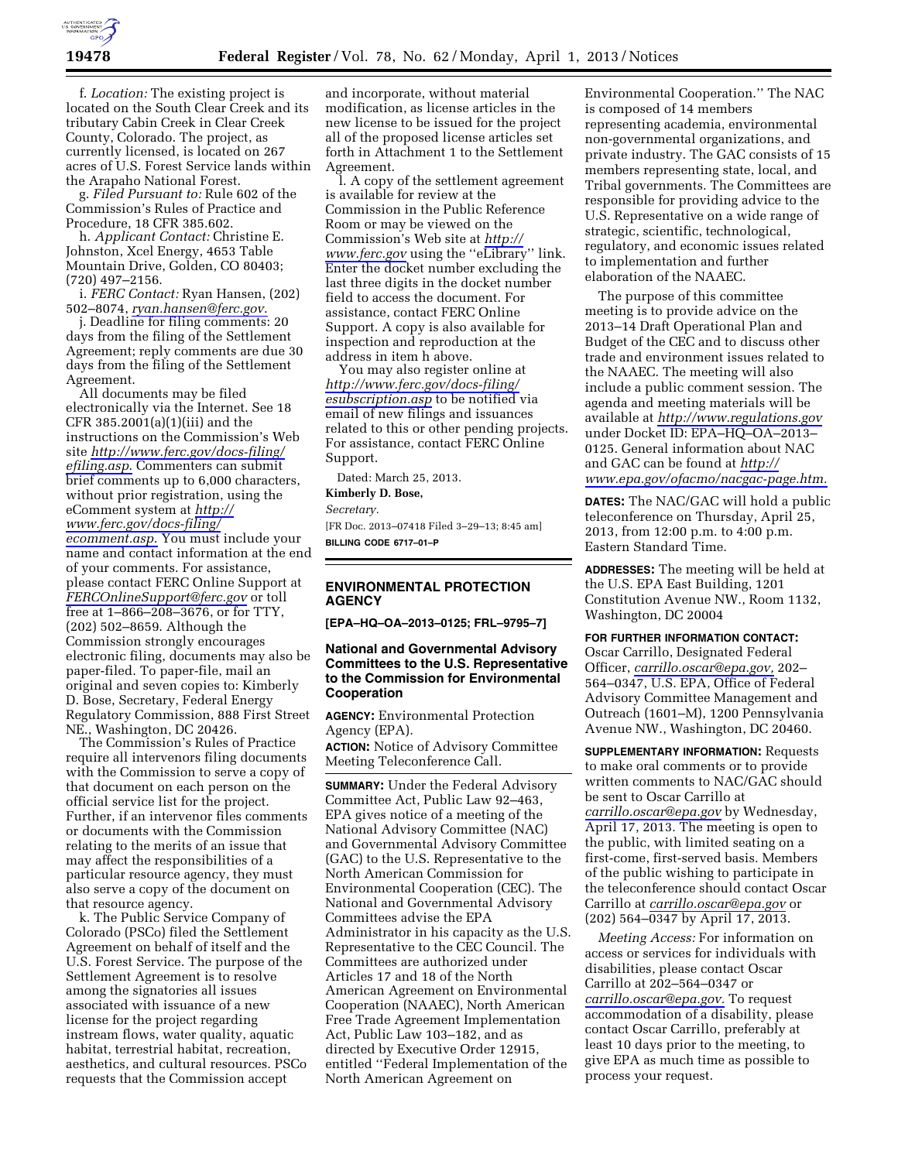

f. *Location:* The existing project is located on the South Clear Creek and its tributary Cabin Creek in Clear Creek County, Colorado. The project, as currently licensed, is located on 267 acres of U.S. Forest Service lands within the Arapaho National Forest.

g. *Filed Pursuant to:* Rule 602 of the Commission's Rules of Practice and Procedure, 18 CFR 385.602.

h. *Applicant Contact:* Christine E. Johnston, Xcel Energy, 4653 Table Mountain Drive, Golden, CO 80403; (720) 497–2156.

i. *FERC Contact:* Ryan Hansen, (202) 502–8074, *[ryan.hansen@ferc.gov](mailto:ryan.hansen@ferc.gov)*.

j. Deadline for filing comments: 20 days from the filing of the Settlement Agreement; reply comments are due 30 days from the filing of the Settlement Agreement.

All documents may be filed electronically via the Internet. See 18 CFR 385.2001(a)(1)(iii) and the instructions on the Commission's Web site *[http://www.ferc.gov/docs-filing/](http://www.ferc.gov/docs-filing/efiling.asp) [efiling.asp](http://www.ferc.gov/docs-filing/efiling.asp)*. Commenters can submit brief comments up to 6,000 characters, without prior registration, using the eComment system at *[http://](http://www.ferc.gov/docs-filing/ecomment.asp) [www.ferc.gov/docs-filing/](http://www.ferc.gov/docs-filing/ecomment.asp)  [ecomment.asp](http://www.ferc.gov/docs-filing/ecomment.asp)*. You must include your name and contact information at the end of your comments. For assistance, please contact FERC Online Support at *[FERCOnlineSupport@ferc.gov](mailto:FERCOnlineSupport@ferc.gov)* or toll free at 1–866–208–3676, or for TTY, (202) 502–8659. Although the Commission strongly encourages electronic filing, documents may also be paper-filed. To paper-file, mail an original and seven copies to: Kimberly D. Bose, Secretary, Federal Energy Regulatory Commission, 888 First Street NE., Washington, DC 20426.

The Commission's Rules of Practice require all intervenors filing documents with the Commission to serve a copy of that document on each person on the official service list for the project. Further, if an intervenor files comments or documents with the Commission relating to the merits of an issue that may affect the responsibilities of a particular resource agency, they must also serve a copy of the document on that resource agency.

k. The Public Service Company of Colorado (PSCo) filed the Settlement Agreement on behalf of itself and the U.S. Forest Service. The purpose of the Settlement Agreement is to resolve among the signatories all issues associated with issuance of a new license for the project regarding instream flows, water quality, aquatic habitat, terrestrial habitat, recreation, aesthetics, and cultural resources. PSCo requests that the Commission accept

and incorporate, without material modification, as license articles in the new license to be issued for the project all of the proposed license articles set forth in Attachment 1 to the Settlement Agreement.

l. A copy of the settlement agreement is available for review at the Commission in the Public Reference Room or may be viewed on the Commission's Web site at *[http://](http://www.ferc.gov)  [www.ferc.gov](http://www.ferc.gov)* using the ''eLibrary'' link. Enter the docket number excluding the last three digits in the docket number field to access the document. For assistance, contact FERC Online Support. A copy is also available for inspection and reproduction at the address in item h above.

You may also register online at *[http://www.ferc.gov/docs-filing/](http://www.ferc.gov/docs-filing/esubscription.asp) [esubscription.asp](http://www.ferc.gov/docs-filing/esubscription.asp)* to be notified via email of new filings and issuances related to this or other pending projects. For assistance, contact FERC Online Support.

Dated: March 25, 2013.

**Kimberly D. Bose,** 

*Secretary.* 

[FR Doc. 2013–07418 Filed 3–29–13; 8:45 am] **BILLING CODE 6717–01–P** 

# **ENVIRONMENTAL PROTECTION AGENCY**

**[EPA–HQ–OA–2013–0125; FRL–9795–7]** 

### **National and Governmental Advisory Committees to the U.S. Representative to the Commission for Environmental Cooperation**

**AGENCY:** Environmental Protection Agency (EPA). **ACTION:** Notice of Advisory Committee

Meeting Teleconference Call.

**SUMMARY:** Under the Federal Advisory Committee Act, Public Law 92–463, EPA gives notice of a meeting of the National Advisory Committee (NAC) and Governmental Advisory Committee (GAC) to the U.S. Representative to the North American Commission for Environmental Cooperation (CEC). The National and Governmental Advisory Committees advise the EPA Administrator in his capacity as the U.S. Representative to the CEC Council. The Committees are authorized under Articles 17 and 18 of the North American Agreement on Environmental Cooperation (NAAEC), North American Free Trade Agreement Implementation Act, Public Law 103–182, and as directed by Executive Order 12915, entitled ''Federal Implementation of the North American Agreement on

Environmental Cooperation.'' The NAC is composed of 14 members representing academia, environmental non-governmental organizations, and private industry. The GAC consists of 15 members representing state, local, and Tribal governments. The Committees are responsible for providing advice to the U.S. Representative on a wide range of strategic, scientific, technological, regulatory, and economic issues related to implementation and further elaboration of the NAAEC.

The purpose of this committee meeting is to provide advice on the 2013–14 Draft Operational Plan and Budget of the CEC and to discuss other trade and environment issues related to the NAAEC. The meeting will also include a public comment session. The agenda and meeting materials will be available at *<http://www.regulations.gov>* under Docket ID: EPA–HQ–OA–2013– 0125. General information about NAC and GAC can be found at *[http://](http://www.epa.gov/ofacmo/nacgac-page.htm) [www.epa.gov/ofacmo/nacgac-page.htm.](http://www.epa.gov/ofacmo/nacgac-page.htm)* 

**DATES:** The NAC/GAC will hold a public teleconference on Thursday, April 25, 2013, from 12:00 p.m. to 4:00 p.m. Eastern Standard Time.

**ADDRESSES:** The meeting will be held at the U.S. EPA East Building, 1201 Constitution Avenue NW., Room 1132, Washington, DC 20004

#### **FOR FURTHER INFORMATION CONTACT:**

Oscar Carrillo, Designated Federal Officer, *[carrillo.oscar@epa.gov,](mailto:carrillo.oscar@epa.gov)* 202– 564–0347, U.S. EPA, Office of Federal Advisory Committee Management and Outreach (1601–M), 1200 Pennsylvania Avenue NW., Washington, DC 20460.

**SUPPLEMENTARY INFORMATION:** Requests to make oral comments or to provide written comments to NAC/GAC should be sent to Oscar Carrillo at *[carrillo.oscar@epa.gov](mailto:carrillo.oscar@epa.gov)* by Wednesday, April 17, 2013. The meeting is open to the public, with limited seating on a first-come, first-served basis. Members of the public wishing to participate in the teleconference should contact Oscar Carrillo at *[carrillo.oscar@epa.gov](mailto:carrillo.oscar@epa.gov)* or (202) 564–0347 by April 17, 2013.

*Meeting Access:* For information on access or services for individuals with disabilities, please contact Oscar Carrillo at 202–564–0347 or *[carrillo.oscar@epa.gov.](mailto:carrillo.oscar@epa.gov)* To request accommodation of a disability, please contact Oscar Carrillo, preferably at least 10 days prior to the meeting, to give EPA as much time as possible to process your request.